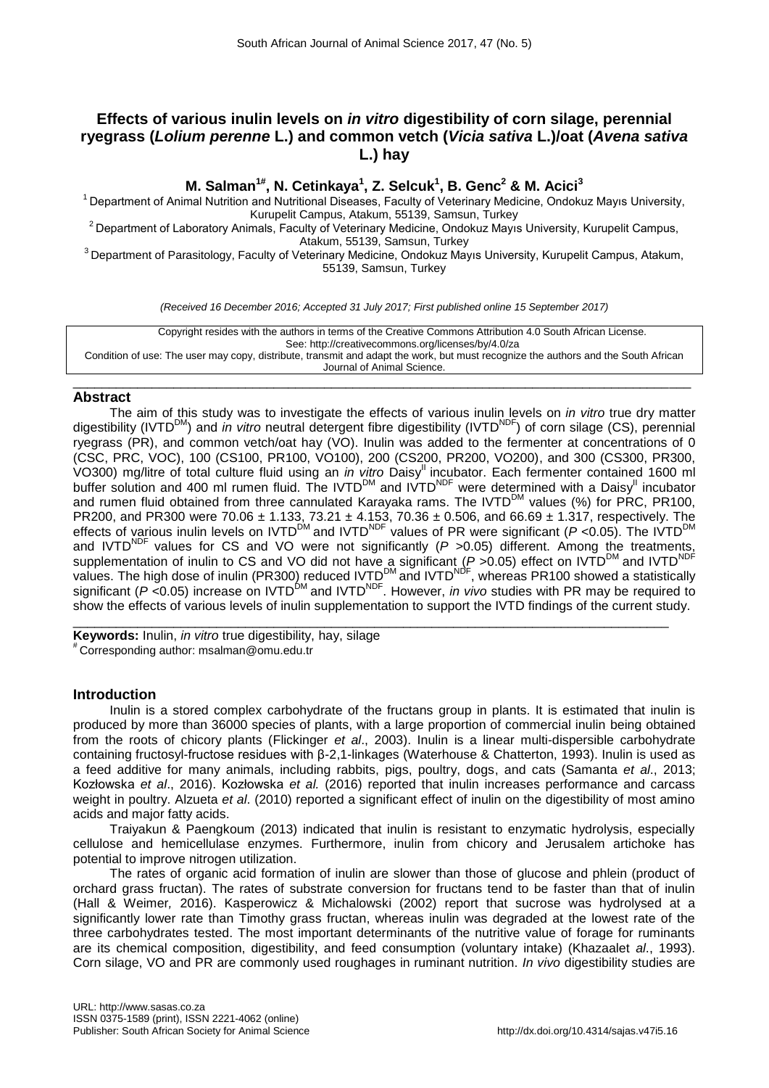# **Effects of various inulin levels on** *in vitro* **digestibility of corn silage, perennial ryegrass (***Lolium perenne* **L.) and common vetch (***Vicia sativa* **L.)/oat (***Avena sativa* **L.) hay**

**M. Salman1# , N. Cetinkaya<sup>1</sup> , Z. Selcuk<sup>1</sup> , B. Genc<sup>2</sup> & M. Acici<sup>3</sup>**

<sup>1</sup> Department of Animal Nutrition and Nutritional Diseases, Faculty of Veterinary Medicine, Ondokuz Mayıs University, Kurupelit Campus, Atakum, 55139, Samsun, Turkey

<sup>2</sup> Department of Laboratory Animals, Faculty of Veterinary Medicine, Ondokuz Mayıs University, Kurupelit Campus, Atakum, 55139, Samsun, Turkey

<sup>3</sup> Department of Parasitology, Faculty of Veterinary Medicine, Ondokuz Mayıs University, Kurupelit Campus, Atakum, 55139, Samsun, Turkey

*(Received 16 December 2016; Accepted 31 July 2017; First published online 15 September 2017)*

Copyright resides with the authors in terms of the Creative Commons Attribution 4.0 South African License. See: http://creativecommons.org/licenses/by/4.0/za Condition of use: The user may copy, distribute, transmit and adapt the work, but must recognize the authors and the South African Journal of Animal Science.

\_\_\_\_\_\_\_\_\_\_\_\_\_\_\_\_\_\_\_\_\_\_\_\_\_\_\_\_\_\_\_\_\_\_\_\_\_\_\_\_\_\_\_\_\_\_\_\_\_\_\_\_\_\_\_\_\_\_\_\_\_\_\_\_\_\_\_\_\_\_\_\_\_\_\_\_\_\_\_\_\_\_\_\_\_\_

## **Abstract**

The aim of this study was to investigate the effects of various inulin levels on *in vitro* true dry matter digestibility (IVTD<sup>DM</sup>) and *in vitro* neutral detergent fibre digestibility (IVTD<sup>NDF</sup>) of corn silage (CS), perennial ryegrass (PR), and common vetch/oat hay (VO). Inulin was added to the fermenter at concentrations of 0 (CSC, PRC, VOC), 100 (CS100, PR100, VO100), 200 (CS200, PR200, VO200), and 300 (CS300, PR300, VO300) mg/litre of total culture fluid using an *in vitro* Daisy<sup>II</sup> incubator. Each fermenter contained 1600 ml buffer solution and 400 ml rumen fluid. The IVTD<sup>DM</sup> and IVTD<sup>NDF</sup> were determined with a Daisy<sup>II</sup> incubator and rumen fluid obtained from three cannulated Karayaka rams. The IVTD<sup>DM</sup> values (%) for PRC, PR100, PR200, and PR300 were 70.06  $\pm$  1.133, 73.21  $\pm$  4.153, 70.36  $\pm$  0.506, and 66.69  $\pm$  1.317, respectively. The effects of various inulin levels on IVTD<sup>DM</sup> and IVTD<sup>NDF</sup> values of PR were significant (*P* <0.05). The IVTD<sup>DM</sup> and IVTD<sup>NDF</sup> values for CS and VO were not significantly (P > 0.05) different. Among the treatments, supplementation of inulin to CS and VO did not have a significant (*P* > 0.05) effect on IVTD<sup>DM</sup> and IVTD<sup>NDF</sup> values. The high dose of inulin (PR300) reduced IVTD<sup>DM</sup> and IVTD<sup>NDF</sup>, whereas PR100 showed a statistically significant (*P* < 0.05) increase on IVTD<sup>DM</sup> and IVTD<sup>NDF</sup>. However, *in vivo* studies with PR may be required to show the effects of various levels of inulin supplementation to support the IVTD findings of the current study. \_\_\_\_\_\_\_\_\_\_\_\_\_\_\_\_\_\_\_\_\_\_\_\_\_\_\_\_\_\_\_\_\_\_\_\_\_\_\_\_\_\_\_\_\_\_\_\_\_\_\_\_\_\_\_\_\_\_\_\_\_\_\_\_\_\_\_\_\_\_\_\_\_\_\_\_\_\_\_\_\_\_\_

**Keywords:** Inulin, *in vitro* true digestibility, hay, silage # Corresponding author: msalman@omu.edu.tr

# **Introduction**

Inulin is a stored complex carbohydrate of the fructans group in plants. It is estimated that inulin is produced by more than 36000 species of plants, with a large proportion of commercial inulin being obtained from the roots of chicory plants (Flickinger *et al*., 2003). Inulin is a linear multi-dispersible carbohydrate containing fructosyl-fructose residues with β-2,1-linkages (Waterhouse & Chatterton, 1993). Inulin is used as a feed additive for many animals, including rabbits, pigs, poultry, dogs, and cats (Samanta *et al*., 2013; Kozłowska *et al*., 2016). Kozłowska *et al.* (2016) reported that inulin increases performance and carcass weight in poultry. Alzueta *et al*. (2010) reported a significant effect of inulin on the digestibility of most amino acids and major fatty acids.

Traiyakun & Paengkoum (2013) indicated that inulin is resistant to enzymatic hydrolysis, especially cellulose and hemicellulase enzymes. Furthermore, inulin from chicory and Jerusalem artichoke has potential to improve nitrogen utilization.

The rates of organic acid formation of inulin are slower than those of glucose and phlein (product of orchard grass fructan). The rates of substrate conversion for fructans tend to be faster than that of inulin (Hall & Weimer*,* 2016). Kasperowicz & Michalowski (2002) report that sucrose was hydrolysed at a significantly lower rate than Timothy grass fructan, whereas inulin was degraded at the lowest rate of the three carbohydrates tested. The most important determinants of the nutritive value of forage for ruminants are its chemical composition, digestibility, and feed consumption (voluntary intake) (Khazaalet *al*., 1993). Corn silage, VO and PR are commonly used roughages in ruminant nutrition. *In vivo* digestibility studies are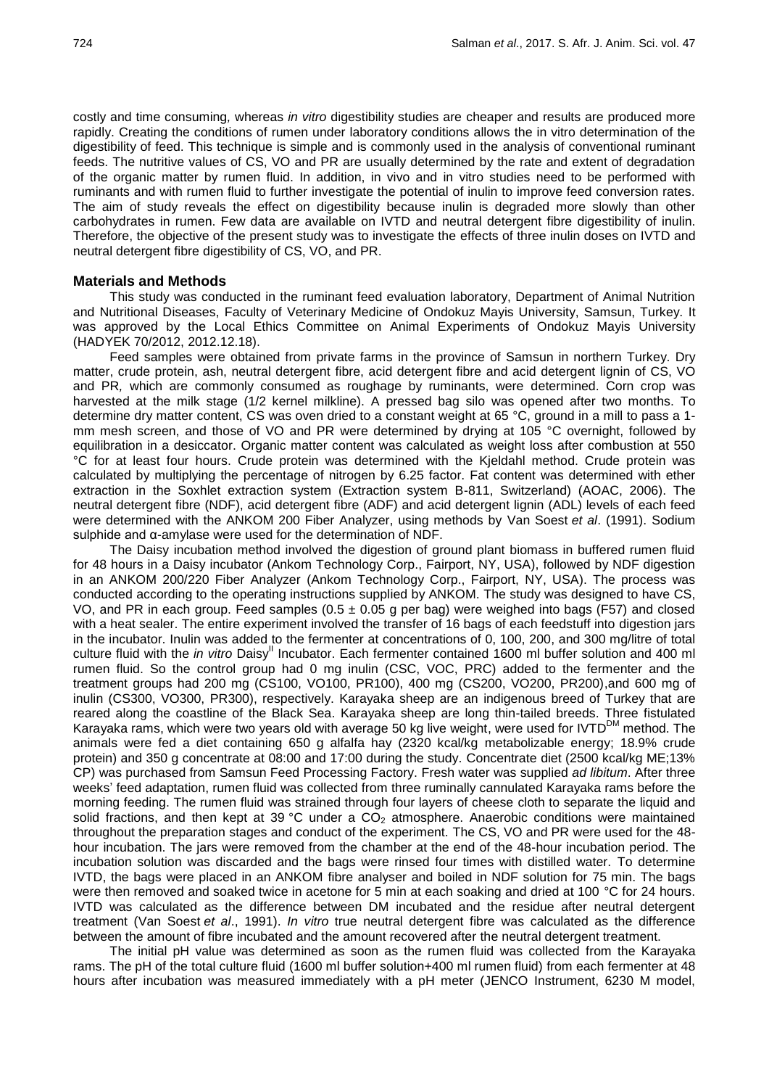costly and time consuming*,* whereas *in vitro* digestibility studies are cheaper and results are produced more rapidly. Creating the conditions of rumen under laboratory conditions allows the in vitro determination of the digestibility of feed. This technique is simple and is commonly used in the analysis of conventional ruminant feeds. The nutritive values of CS, VO and PR are usually determined by the rate and extent of degradation of the organic matter by rumen fluid. In addition, in vivo and in vitro studies need to be performed with ruminants and with rumen fluid to further investigate the potential of inulin to improve feed conversion rates. The aim of study reveals the effect on digestibility because inulin is degraded more slowly than other carbohydrates in rumen. Few data are available on IVTD and neutral detergent fibre digestibility of inulin. Therefore, the objective of the present study was to investigate the effects of three inulin doses on IVTD and neutral detergent fibre digestibility of CS, VO, and PR.

## **Materials and Methods**

This study was conducted in the ruminant feed evaluation laboratory, Department of Animal Nutrition and Nutritional Diseases, Faculty of Veterinary Medicine of Ondokuz Mayis University, Samsun, Turkey. It was approved by the Local Ethics Committee on Animal Experiments of Ondokuz Mayis University (HADYEK 70/2012, 2012.12.18).

Feed samples were obtained from private farms in the province of Samsun in northern Turkey. Dry matter, crude protein, ash, neutral detergent fibre, acid detergent fibre and acid detergent lignin of CS, VO and PR*,* which are commonly consumed as roughage by ruminants, were determined. Corn crop was harvested at the milk stage (1/2 kernel milkline). A pressed bag silo was opened after two months. To determine dry matter content, CS was oven dried to a constant weight at 65 °C, ground in a mill to pass a 1 mm mesh screen, and those of VO and PR were determined by drying at 105 °C overnight, followed by equilibration in a desiccator. Organic matter content was calculated as weight loss after combustion at 550 °C for at least four hours. Crude protein was determined with the Kjeldahl method. Crude protein was calculated by multiplying the percentage of nitrogen by 6.25 factor. Fat content was determined with ether extraction in the Soxhlet extraction system (Extraction system B-811, Switzerland) (AOAC, 2006). The neutral detergent fibre (NDF), acid detergent fibre (ADF) and acid detergent lignin (ADL) levels of each feed were determined with the ANKOM 200 Fiber Analyzer, using methods by Van Soest *et al*. (1991). Sodium sulphide and α-amylase were used for the determination of NDF.

The Daisy incubation method involved the digestion of ground plant biomass in buffered rumen fluid for 48 hours in a Daisy incubator (Ankom Technology Corp., Fairport, NY, USA), followed by NDF digestion in an ANKOM 200/220 Fiber Analyzer (Ankom Technology Corp., Fairport, NY, USA). The process was conducted according to the operating instructions supplied by ANKOM. The study was designed to have CS, VO, and PR in each group. Feed samples  $(0.5 \pm 0.05$  g per bag) were weighed into bags (F57) and closed with a heat sealer. The entire experiment involved the transfer of 16 bags of each feedstuff into digestion jars in the incubator. Inulin was added to the fermenter at concentrations of 0, 100, 200, and 300 mg/litre of total culture fluid with the *in vitro* Daisy<sup>II</sup> Incubator. Each fermenter contained 1600 ml buffer solution and 400 ml rumen fluid. So the control group had 0 mg inulin (CSC, VOC, PRC) added to the fermenter and the treatment groups had 200 mg (CS100, VO100, PR100), 400 mg (CS200, VO200, PR200),and 600 mg of inulin (CS300, VO300, PR300), respectively. Karayaka sheep are an indigenous breed of Turkey that are reared along the coastline of the Black Sea. Karayaka sheep are long thin-tailed breeds. Three fistulated Karayaka rams, which were two years old with average 50 kg live weight, were used for IVTD<sup>DM</sup> method. The animals were fed a diet containing 650 g alfalfa hay (2320 kcal/kg metabolizable energy; 18.9% crude protein) and 350 g concentrate at 08:00 and 17:00 during the study. Concentrate diet (2500 kcal/kg ME;13% CP) was purchased from Samsun Feed Processing Factory. Fresh water was supplied *ad libitum*. After three weeks' feed adaptation, rumen fluid was collected from three ruminally cannulated Karayaka rams before the morning feeding. The rumen fluid was strained through four layers of cheese cloth to separate the liquid and solid fractions, and then kept at 39 °C under a  $CO<sub>2</sub>$  atmosphere. Anaerobic conditions were maintained throughout the preparation stages and conduct of the experiment. The CS, VO and PR were used for the 48 hour incubation. The jars were removed from the chamber at the end of the 48-hour incubation period. The incubation solution was discarded and the bags were rinsed four times with distilled water. To determine IVTD, the bags were placed in an ANKOM fibre analyser and boiled in NDF solution for 75 min. The bags were then removed and soaked twice in acetone for 5 min at each soaking and dried at 100 °C for 24 hours. IVTD was calculated as the difference between DM incubated and the residue after neutral detergent treatment (Van Soest *et al*., 1991). *In vitro* true neutral detergent fibre was calculated as the difference between the amount of fibre incubated and the amount recovered after the neutral detergent treatment.

The initial pH value was determined as soon as the rumen fluid was collected from the Karayaka rams. The pH of the total culture fluid (1600 ml buffer solution+400 ml rumen fluid) from each fermenter at 48 hours after incubation was measured immediately with a pH meter (JENCO Instrument, 6230 M model,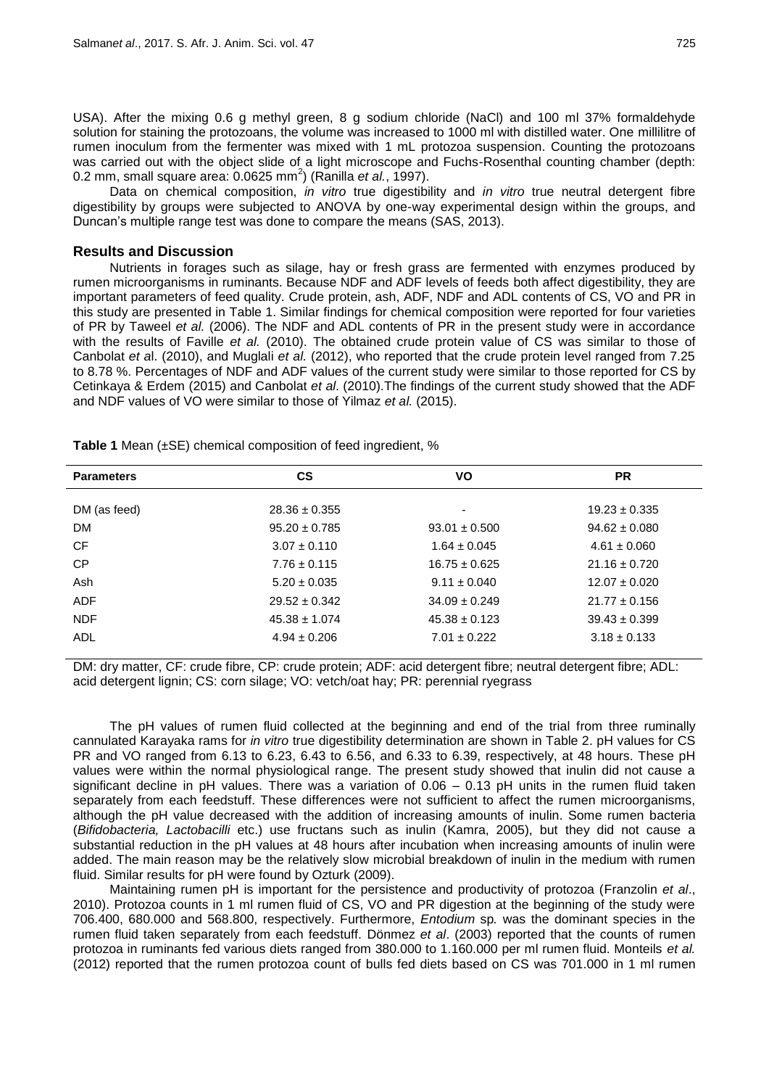USA). After the mixing 0.6 g methyl green, 8 g sodium chloride (NaCl) and 100 ml 37% formaldehyde solution for staining the protozoans, the volume was increased to 1000 ml with distilled water. One millilitre of rumen inoculum from the fermenter was mixed with 1 mL protozoa suspension. Counting the protozoans was carried out with the object slide of a light microscope and Fuchs-Rosenthal counting chamber (depth: 0.2 mm, small square area: 0.0625 mm<sup>2</sup>) (Ranilla *et al.*, 1997).

Data on chemical composition, *in vitro* true digestibility and *in vitro* true neutral detergent fibre digestibility by groups were subjected to ANOVA by one-way experimental design within the groups, and Duncan's multiple range test was done to compare the means (SAS, 2013).

## **Results and Discussion**

Nutrients in forages such as silage, hay or fresh grass are fermented with enzymes produced by rumen microorganisms in ruminants. Because NDF and ADF levels of feeds both affect digestibility, they are important parameters of feed quality. Crude protein, ash, ADF, NDF and ADL contents of CS, VO and PR in this study are presented in Table 1. Similar findings for chemical composition were reported for four varieties of PR by Taweel *et al.* (2006). The NDF and ADL contents of PR in the present study were in accordance with the results of Faville *et al.* (2010). The obtained crude protein value of CS was similar to those of Canbolat *et a*l. (2010), and Muglali *et al.* (2012), who reported that the crude protein level ranged from 7.25 to 8.78 %. Percentages of NDF and ADF values of the current study were similar to those reported for CS by Cetinkaya & Erdem (2015) and Canbolat *et al*. (2010).The findings of the current study showed that the ADF and NDF values of VO were similar to those of Yilmaz *et al.* (2015).

| <b>CS</b>         | VO                | <b>PR</b>         |
|-------------------|-------------------|-------------------|
|                   |                   |                   |
|                   |                   | $19.23 \pm 0.335$ |
| $95.20 \pm 0.785$ | $93.01 \pm 0.500$ | $94.62 \pm 0.080$ |
| $3.07 \pm 0.110$  | $1.64 \pm 0.045$  | $4.61 \pm 0.060$  |
| $7.76 \pm 0.115$  | $16.75 \pm 0.625$ | $21.16 \pm 0.720$ |
| $5.20 \pm 0.035$  | $9.11 \pm 0.040$  | $12.07 \pm 0.020$ |
| $29.52 \pm 0.342$ | $34.09 \pm 0.249$ | $21.77 \pm 0.156$ |
| $45.38 \pm 1.074$ | $45.38 \pm 0.123$ | $39.43 \pm 0.399$ |
| $4.94 \pm 0.206$  | $7.01 \pm 0.222$  | $3.18 \pm 0.133$  |
|                   | $28.36 \pm 0.355$ | ٠                 |

**Table 1** Mean (±SE) chemical composition of feed ingredient, %

DM: dry matter, CF: crude fibre, CP: crude protein; ADF: acid detergent fibre; neutral detergent fibre; ADL: acid detergent lignin; CS: corn silage; VO: vetch/oat hay; PR: perennial ryegrass

The pH values of rumen fluid collected at the beginning and end of the trial from three ruminally cannulated Karayaka rams for *in vitro* true digestibility determination are shown in Table 2. pH values for CS PR and VO ranged from 6.13 to 6.23, 6.43 to 6.56, and 6.33 to 6.39, respectively, at 48 hours. These pH values were within the normal physiological range. The present study showed that inulin did not cause a significant decline in pH values. There was a variation of 0.06 – 0.13 pH units in the rumen fluid taken separately from each feedstuff. These differences were not sufficient to affect the rumen microorganisms, although the pH value decreased with the addition of increasing amounts of inulin. Some rumen bacteria (*Bifidobacteria, Lactobacilli* etc.) use fructans such as inulin (Kamra, 2005), but they did not cause a substantial reduction in the pH values at 48 hours after incubation when increasing amounts of inulin were added. The main reason may be the relatively slow microbial breakdown of inulin in the medium with rumen fluid. Similar results for pH were found by Ozturk (2009).

Maintaining rumen pH is important for the persistence and productivity of protozoa (Franzolin *et al*., 2010). Protozoa counts in 1 ml rumen fluid of CS, VO and PR digestion at the beginning of the study were 706.400, 680.000 and 568.800, respectively. Furthermore, *Entodium* sp*.* was the dominant species in the rumen fluid taken separately from each feedstuff. Dönmez *et al*. (2003) reported that the counts of rumen protozoa in ruminants fed various diets ranged from 380.000 to 1.160.000 per ml rumen fluid. Monteils *et al.* (2012) reported that the rumen protozoa count of bulls fed diets based on CS was 701.000 in 1 ml rumen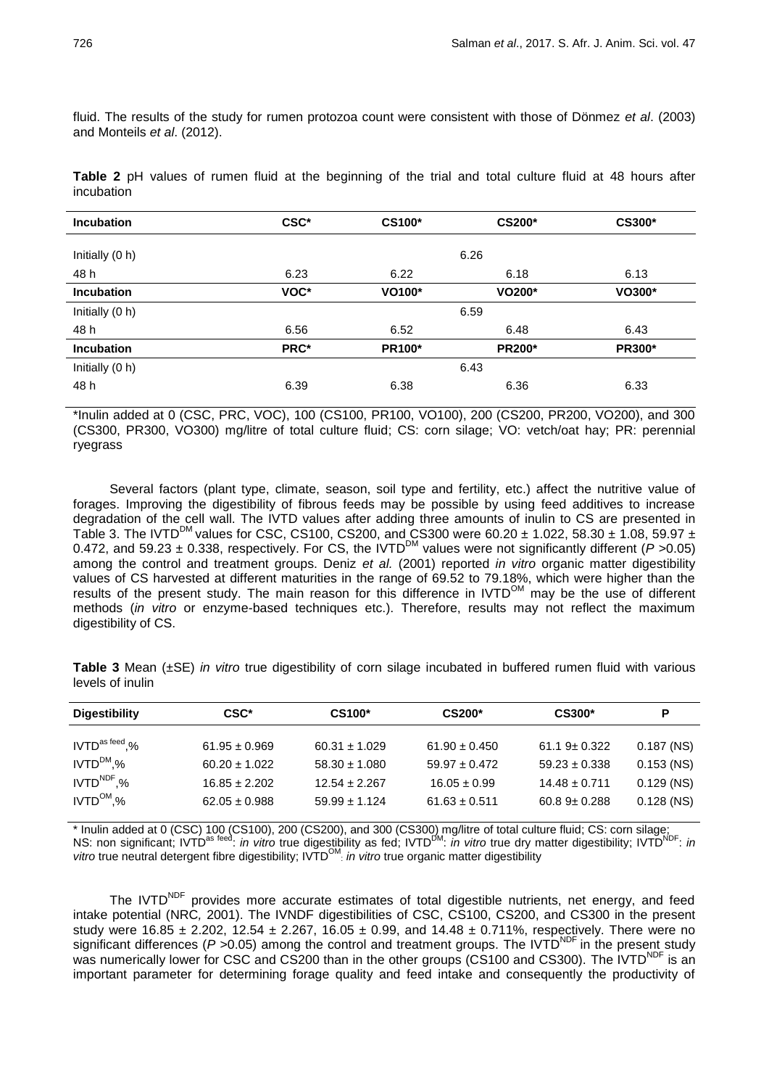fluid. The results of the study for rumen protozoa count were consistent with those of Dönmez *et al*. (2003) and Monteils *et al*. (2012).

**Table 2** pH values of rumen fluid at the beginning of the trial and total culture fluid at 48 hours after incubation

| <b>Incubation</b> | CSC* | <b>CS100*</b> | <b>CS200*</b> | <b>CS300*</b> |
|-------------------|------|---------------|---------------|---------------|
| Initially (0 h)   |      |               | 6.26          |               |
| 48 h              | 6.23 | 6.22          | 6.18          | 6.13          |
| <b>Incubation</b> | VOC* | VO100*        | VO200*        | VO300*        |
| Initially (0 h)   |      |               | 6.59          |               |
| 48 h              | 6.56 | 6.52          | 6.48          | 6.43          |
| <b>Incubation</b> | PRC* | <b>PR100*</b> | <b>PR200*</b> | <b>PR300*</b> |
| Initially (0 h)   |      |               | 6.43          |               |
| 48 h              | 6.39 | 6.38          | 6.36          | 6.33          |

\*Inulin added at 0 (CSC, PRC, VOC), 100 (CS100, PR100, VO100), 200 (CS200, PR200, VO200), and 300 (CS300, PR300, VO300) mg/litre of total culture fluid; CS: corn silage; VO: vetch/oat hay; PR: perennial ryegrass

Several factors (plant type, climate, season, soil type and fertility, etc.) affect the nutritive value of forages. Improving the digestibility of fibrous feeds may be possible by using feed additives to increase degradation of the cell wall. The IVTD values after adding three amounts of inulin to CS are presented in Table 3. The IVTD<sup>DM</sup> values for CSC, CS100, CS200, and CS300 were 60.20  $\pm$  1.022, 58.30  $\pm$  1.08, 59.97  $\pm$ 0.472, and 59.23  $\pm$  0.338, respectively. For CS, the IVTD<sup>DM</sup> values were not significantly different ( $P > 0.05$ ) among the control and treatment groups. Deniz *et al.* (2001) reported *in vitro* organic matter digestibility values of CS harvested at different maturities in the range of 69.52 to 79.18%, which were higher than the results of the present study. The main reason for this difference in  $IVTD^{OM}$  may be the use of different methods (*in vitro* or enzyme-based techniques etc.). Therefore, results may not reflect the maximum digestibility of CS.

**Table 3** Mean (±SE) *in vitro* true digestibility of corn silage incubated in buffered rumen fluid with various levels of inulin

| <b>Digestibility</b> | CSC*              | CS100*            | <b>CS200*</b>     | CS300*            | Р            |
|----------------------|-------------------|-------------------|-------------------|-------------------|--------------|
| $IVTD^{as\,feed}$ ,% | $61.95 \pm 0.969$ | $60.31 \pm 1.029$ | $61.90 \pm 0.450$ | $61.19 \pm 0.322$ | $0.187$ (NS) |
| $IVTD^{DM}$ ,%       | $60.20 \pm 1.022$ | $58.30 \pm 1.080$ | $59.97 \pm 0.472$ | $59.23 \pm 0.338$ | $0.153$ (NS) |
| $IVTDNDF$ ,%         | $16.85 \pm 2.202$ | $12.54 \pm 2.267$ | $16.05 \pm 0.99$  | $14.48 \pm 0.711$ | $0.129$ (NS) |
| $IVTD^{OM}$ %        | $62.05 \pm 0.988$ | $59.99 \pm 1.124$ | $61.63 \pm 0.511$ | $60.89 \pm 0.288$ | $0.128$ (NS) |

\* Inulin added at 0 (CSC) 100 (CS100), 200 (CS200), and 300 (CS300) mg/litre of total culture fluid; CS: corn silage; NS: non significant; IVTD<sup>as feed</sup>: *in vitro* true digestibility as fed; IVTD<sup>DM</sup>: *in vitro* true dry matter digestibility; IVTD<sup>NDF</sup>: *in* vitro true neutral detergent fibre digestibility; IVTD<sup>OM</sup>: *in vitro* true organic matter digestibility

The IVTD<sup>NDF</sup> provides more accurate estimates of total digestible nutrients, net energy, and feed intake potential (NRC*,* 2001). The IVNDF digestibilities of CSC, CS100, CS200, and CS300 in the present study were 16.85  $\pm$  2.202, 12.54  $\pm$  2.267, 16.05  $\pm$  0.99, and 14.48  $\pm$  0.711%, respectively. There were no significant differences ( $P > 0.05$ ) among the control and treatment groups. The IVTD<sup>NDF</sup> in the present study was numerically lower for CSC and CS200 than in the other groups (CS100 and CS300). The IVTD<sup>NDF</sup> is an important parameter for determining forage quality and feed intake and consequently the productivity of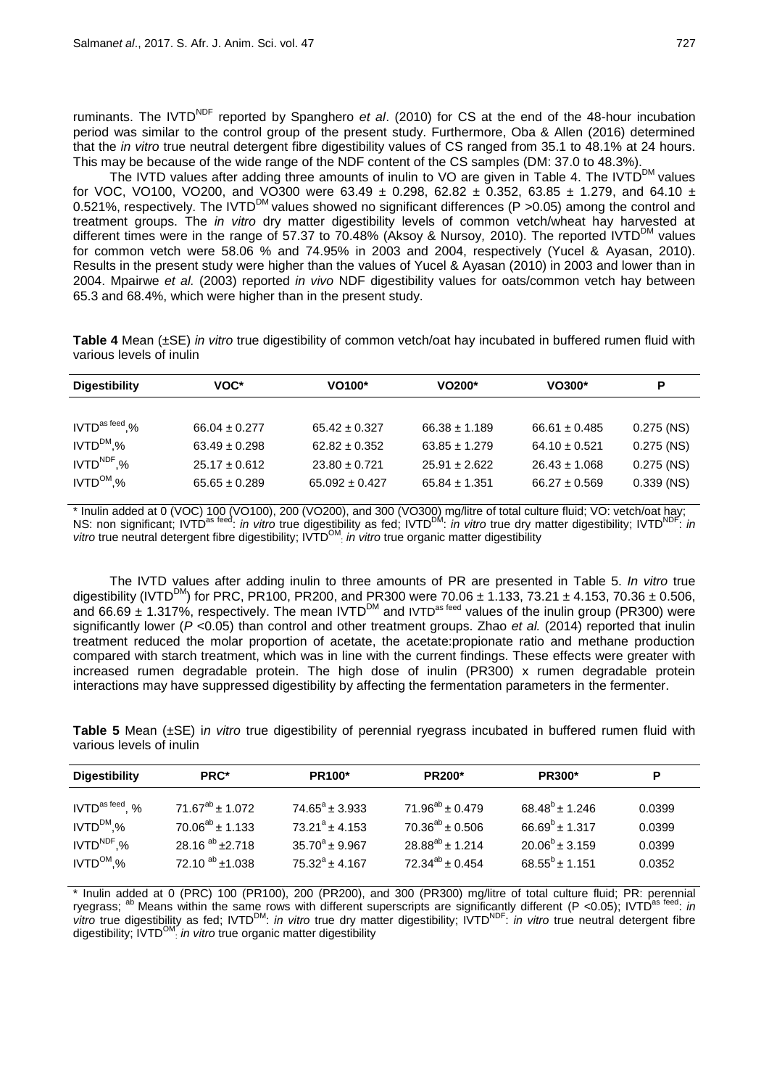ruminants. The IVTD<sup>NDF</sup> reported by Spanghero *et al.* (2010) for CS at the end of the 48-hour incubation period was similar to the control group of the present study. Furthermore, Oba & Allen (2016) determined that the *in vitro* true neutral detergent fibre digestibility values of CS ranged from 35.1 to 48.1% at 24 hours. This may be because of the wide range of the NDF content of the CS samples (DM: 37.0 to 48.3%).

The IVTD values after adding three amounts of inulin to VO are given in Table 4. The IVTD<sup>DM</sup> values for VOC, VO100, VO200, and VO300 were 63.49  $\pm$  0.298, 62.82  $\pm$  0.352, 63.85  $\pm$  1.279, and 64.10  $\pm$ 0.521%, respectively. The IVTD<sup>DM</sup> values showed no significant differences (P >0.05) among the control and treatment groups. The *in vitro* dry matter digestibility levels of common vetch/wheat hay harvested at different times were in the range of 57.37 to 70.48% (Aksoy & Nursoy, 2010). The reported IVTD<sup>DM</sup> values for common vetch were 58.06 % and 74.95% in 2003 and 2004, respectively (Yucel & Ayasan, 2010). Results in the present study were higher than the values of Yucel & Ayasan (2010) in 2003 and lower than in 2004. Mpairwe *et al.* (2003) reported *in vivo* NDF digestibility values for oats/common vetch hay between 65.3 and 68.4%, which were higher than in the present study.

|                          | Table 4 Mean (±SE) in vitro true digestibility of common vetch/oat hay incubated in buffered rumen fluid with |  |  |  |  |
|--------------------------|---------------------------------------------------------------------------------------------------------------|--|--|--|--|
| various levels of inulin |                                                                                                               |  |  |  |  |

| <b>Digestibility</b>     | VOC*              | VO100*             | VO200*            | $VO300*$          | Р            |
|--------------------------|-------------------|--------------------|-------------------|-------------------|--------------|
|                          |                   |                    |                   |                   |              |
| $IVTD^{\rm as\,feed}$ .% | $66.04 \pm 0.277$ | $65.42 \pm 0.327$  | $66.38 \pm 1.189$ | $66.61 \pm 0.485$ | $0.275$ (NS) |
| $IVTD^{DM}$ ,%           | $63.49 \pm 0.298$ | $62.82 \pm 0.352$  | $63.85 \pm 1.279$ | $64.10 \pm 0.521$ | $0.275$ (NS) |
| $IVTDNDF$ ,%             | $25.17 \pm 0.612$ | $23.80 \pm 0.721$  | $25.91 \pm 2.622$ | $26.43 \pm 1.068$ | $0.275$ (NS) |
| $IVTD^{OM}$ %            | $65.65 \pm 0.289$ | $65.092 \pm 0.427$ | $65.84 \pm 1.351$ | $66.27 \pm 0.569$ | $0.339$ (NS) |

\* Inulin added at 0 (VOC) 100 (VO100), 200 (VO200), and 300 (VO300) mg/litre of total culture fluid; VO: vetch/oat hay; NS: non significant; IVTD<sup>as feed</sup>: *in vitro* true digestibility as fed; IVTD<sup>DM</sup>: *in vitro* true dry matter digestibility; IVTD<sup>NDF</sup>: *in* vitro true neutral detergent fibre digestibility; IVTD<sup>OM</sup>: *in vitro* true organic matter digestibility

The IVTD values after adding inulin to three amounts of PR are presented in Table 5. *In vitro* true digestibility (IVTD<sup>DM</sup>) for PRC, PR100, PR200, and PR300 were 70.06  $\pm$  1.133, 73.21  $\pm$  4.153, 70.36  $\pm$  0.506, and 66.69  $\pm$  1.317%, respectively. The mean IVTD<sup>DM</sup> and IVTD<sup>as feed</sup> values of the inulin group (PR300) were significantly lower (*P* <0.05) than control and other treatment groups. Zhao *et al.* (2014) reported that inulin treatment reduced the molar proportion of acetate, the acetate:propionate ratio and methane production compared with starch treatment, which was in line with the current findings. These effects were greater with increased rumen degradable protein. The high dose of inulin (PR300) x rumen degradable protein interactions may have suppressed digestibility by affecting the fermentation parameters in the fermenter.

**Table 5** Mean (±SE) i*n vitro* true digestibility of perennial ryegrass incubated in buffered rumen fluid with various levels of inulin

| <b>Digestibility</b> | PRC*                   | <b>PR100*</b>           | <b>PR200*</b>          | <b>PR300*</b>       | P      |
|----------------------|------------------------|-------------------------|------------------------|---------------------|--------|
| $IVTDas feed$ , %    | $71.67^{ab}$ ± 1.072   | $74.65^{\circ}$ ± 3.933 | $71.96^{ab} \pm 0.479$ | $68.48^b \pm 1.246$ | 0.0399 |
| $IVTD^{DM}$ .%       | $70.06^{ab} \pm 1.133$ | $73.21^a \pm 4.153$     | $70.36^{ab} \pm 0.506$ | $66.69^b \pm 1.317$ | 0.0399 |
| $IVTD^{NDF}$ .%      | 28.16 $^{ab}$ ±2.718   | $35.70^a \pm 9.967$     | $28.88^{ab}$ ± 1.214   | $20.06^b \pm 3.159$ | 0.0399 |
| $IVTD^{OM}.%$        | $72.10^{ab}$ ±1.038    | $75.32^a \pm 4.167$     | $72.34^{ab} \pm 0.454$ | $68.55^{b}$ ± 1.151 | 0.0352 |

Inulin added at 0 (PRC) 100 (PR100), 200 (PR200), and 300 (PR300) mg/litre of total culture fluid; PR: perennial ryegrass; <sup>ab</sup> Means within the same rows with different superscripts are significantly different (P <0.05); IVTD<sup>as feed</sup>: *in* vitro true digestibility as fed; IVTD<sup>DM</sup>: *in vitro* true dry matter digestibility; IVTD<sup>NDF</sup>: *in vitro* true neutral detergent fibre digestibility; IVTD<sup>OM</sup>: in vitro true organic matter digestibility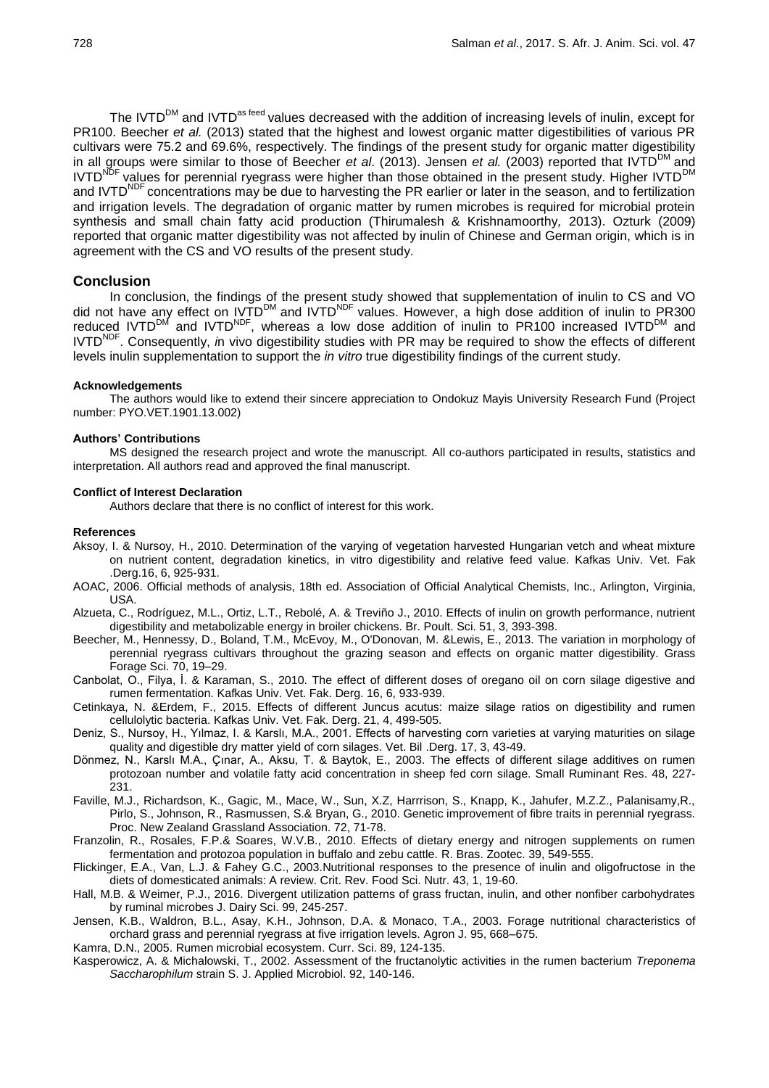The IVTD<sup>DM</sup> and IVTD<sup>as feed</sup> values decreased with the addition of increasing levels of inulin, except for PR100. Beecher *et al.* (2013) stated that the highest and lowest organic matter digestibilities of various PR cultivars were 75.2 and 69.6%, respectively. The findings of the present study for organic matter digestibility in all groups were similar to those of Beecher *et al.* (2013). Jensen *et al.* (2003) reported that IVTD<sup>DM</sup> and IVTD<sup>NDF</sup> values for perennial ryegrass were higher than those obtained in the present study. Higher IVTD<sup>DI</sup> and IVTD<sup>NDF</sup> concentrations may be due to harvesting the PR earlier or later in the season, and to fertilization and irrigation levels. The degradation of organic matter by rumen microbes is required for microbial protein synthesis and small chain fatty acid production (Thirumalesh & Krishnamoorthy*,* 2013). Ozturk (2009) reported that organic matter digestibility was not affected by inulin of Chinese and German origin, which is in agreement with the CS and VO results of the present study.

## **Conclusion**

In conclusion, the findings of the present study showed that supplementation of inulin to CS and VO did not have any effect on IVTD<sup>DM</sup> and IVTD<sup>NDF</sup> values. However, a high dose addition of inulin to PR300 reduced IVTD<sup>DM</sup> and IVTD<sup>NDF</sup>, whereas a low dose addition of inulin to PR100 increased IVTD<sup>DM</sup> and IVTDNDF. Consequently, *i*n vivo digestibility studies with PR may be required to show the effects of different levels inulin supplementation to support the *in vitro* true digestibility findings of the current study.

## **Acknowledgements**

The authors would like to extend their sincere appreciation to Ondokuz Mayis University Research Fund (Project number: PYO.VET.1901.13.002)

## **Authors' Contributions**

MS designed the research project and wrote the manuscript. All co-authors participated in results, statistics and interpretation. All authors read and approved the final manuscript.

#### **Conflict of Interest Declaration**

Authors declare that there is no conflict of interest for this work.

## **References**

- Aksoy, I. & Nursoy, H., 2010. Determination of the varying of vegetation harvested Hungarian vetch and wheat mixture on nutrient content, degradation kinetics, in vitro digestibility and relative feed value. Kafkas Univ. Vet. Fak .Derg.16, 6, 925-931.
- AOAC, 2006. Official methods of analysis, 18th ed. Association of Official Analytical Chemists, Inc., Arlington, Virginia, USA.
- Alzueta, C., Rodríguez, M.L., Ortiz, L.T., Rebolé, A. & Treviño J., 2010. Effects of inulin on growth performance, nutrient digestibility and metabolizable energy in broiler chickens. Br. Poult. Sci. 51, 3, 393-398.
- Beecher, M., Hennessy, D., Boland, T.M., McEvoy, M., O'Donovan, M. &Lewis, E., 2013. The variation in morphology of perennial ryegrass cultivars throughout the grazing season and effects on organic matter digestibility. Grass Forage Sci. 70, 19–29.
- Canbolat, O., Filya, İ. & Karaman, S., 2010. The effect of different doses of oregano oil on corn silage digestive and rumen fermentation. Kafkas Univ. Vet. Fak. Derg. 16, 6, 933-939.
- Cetinkaya, N. &Erdem, F., 2015. Effects of different Juncus acutus: maize silage ratios on digestibility and rumen cellulolytic bacteria. Kafkas Univ. Vet. Fak. Derg. 21, 4, 499-505.
- Deniz, S., Nursoy, H., Yılmaz, I. & Karslı, M.A., 2001. Effects of harvesting corn varieties at varying maturities on silage quality and digestible dry matter yield of corn silages. Vet. Bil .Derg. 17, 3, 43-49.
- Dönmez, N., Karslı M.A., Çınar, A., Aksu, T. & Baytok, E., 2003. The effects of different silage additives on rumen protozoan number and volatile fatty acid concentration in sheep fed corn silage. Small Ruminant Res. 48, 227- 231.
- Faville, M.J., Richardson, K., Gagic, M., Mace, W., Sun, X.Z, Harrrison, S., Knapp, K., Jahufer, M.Z.Z., Palanisamy,R., Pirlo, S., Johnson, R., Rasmussen, S.& Bryan, G., 2010. Genetic improvement of fibre traits in perennial ryegrass. Proc. New Zealand Grassland Association. 72, 71-78.
- Franzolin, R., Rosales, F.P.& Soares, W.V.B., 2010. Effects of dietary energy and nitrogen supplements on rumen fermentation and protozoa population in buffalo and zebu cattle. R. Bras. Zootec. 39, 549-555.
- Flickinger, E.A., Van, L.J. & Fahey G.C., 2003.Nutritional responses to the presence of inulin and oligofructose in the diets of domesticated animals: A review. Crit. Rev. Food Sci. Nutr. 43, 1, 19-60.
- Hall, M.B. & Weimer, P.J., 2016. Divergent utilization patterns of grass fructan, inulin, and other nonfiber carbohydrates by ruminal microbes J. Dairy Sci. 99, 245-257.
- Jensen, K.B., Waldron, B.L., Asay, K.H., Johnson, D.A. & Monaco, T.A., 2003. Forage nutritional characteristics of orchard grass and perennial ryegrass at five irrigation levels. Agron J. 95, 668–675.
- Kamra, D.N., 2005. Rumen microbial ecosystem. Curr. Sci. 89, 124-135.
- Kasperowicz, A. & Michalowski, T., 2002. Assessment of the fructanolytic activities in the rumen bacterium *Treponema Saccharophilum* strain S. J. Applied Microbiol. 92, 140-146.